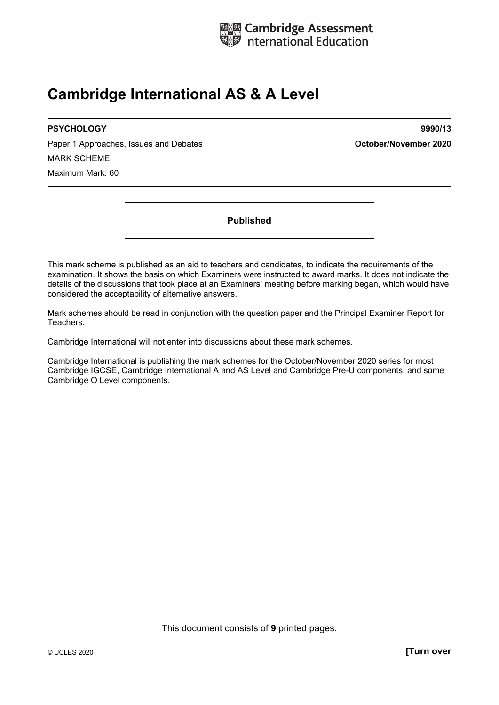

## **Cambridge International AS & A Level**

Paper 1 Approaches, Issues and Debates **Container and Container and Debates Container 2020** MARK SCHEME Maximum Mark: 60

**PSYCHOLOGY 9990/13** 

**Published** 

This mark scheme is published as an aid to teachers and candidates, to indicate the requirements of the examination. It shows the basis on which Examiners were instructed to award marks. It does not indicate the details of the discussions that took place at an Examiners' meeting before marking began, which would have considered the acceptability of alternative answers.

Mark schemes should be read in conjunction with the question paper and the Principal Examiner Report for Teachers.

Cambridge International will not enter into discussions about these mark schemes.

Cambridge International is publishing the mark schemes for the October/November 2020 series for most Cambridge IGCSE, Cambridge International A and AS Level and Cambridge Pre-U components, and some Cambridge O Level components.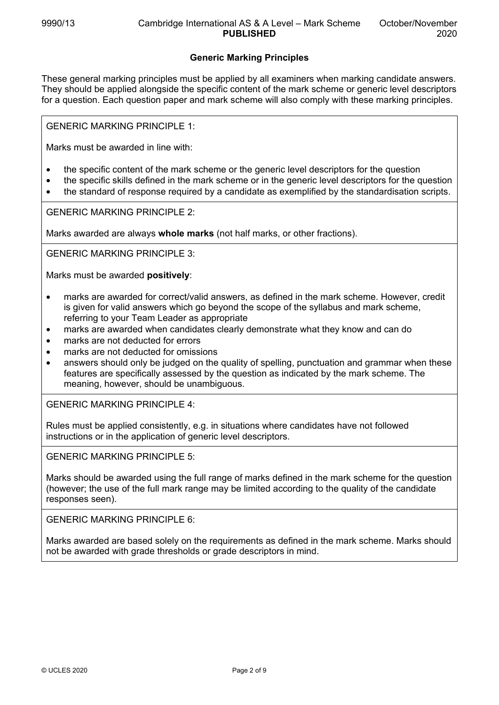## **Generic Marking Principles**

These general marking principles must be applied by all examiners when marking candidate answers. They should be applied alongside the specific content of the mark scheme or generic level descriptors for a question. Each question paper and mark scheme will also comply with these marking principles.

GENERIC MARKING PRINCIPLE 1:

Marks must be awarded in line with:

- the specific content of the mark scheme or the generic level descriptors for the question
- the specific skills defined in the mark scheme or in the generic level descriptors for the question
- the standard of response required by a candidate as exemplified by the standardisation scripts.

GENERIC MARKING PRINCIPLE 2:

Marks awarded are always **whole marks** (not half marks, or other fractions).

GENERIC MARKING PRINCIPLE 3:

Marks must be awarded **positively**:

- marks are awarded for correct/valid answers, as defined in the mark scheme. However, credit is given for valid answers which go beyond the scope of the syllabus and mark scheme, referring to your Team Leader as appropriate
- marks are awarded when candidates clearly demonstrate what they know and can do
- marks are not deducted for errors
- marks are not deducted for omissions
- answers should only be judged on the quality of spelling, punctuation and grammar when these features are specifically assessed by the question as indicated by the mark scheme. The meaning, however, should be unambiguous.

GENERIC MARKING PRINCIPLE 4:

Rules must be applied consistently, e.g. in situations where candidates have not followed instructions or in the application of generic level descriptors.

GENERIC MARKING PRINCIPLE 5:

Marks should be awarded using the full range of marks defined in the mark scheme for the question (however; the use of the full mark range may be limited according to the quality of the candidate responses seen).

GENERIC MARKING PRINCIPLE 6:

Marks awarded are based solely on the requirements as defined in the mark scheme. Marks should not be awarded with grade thresholds or grade descriptors in mind.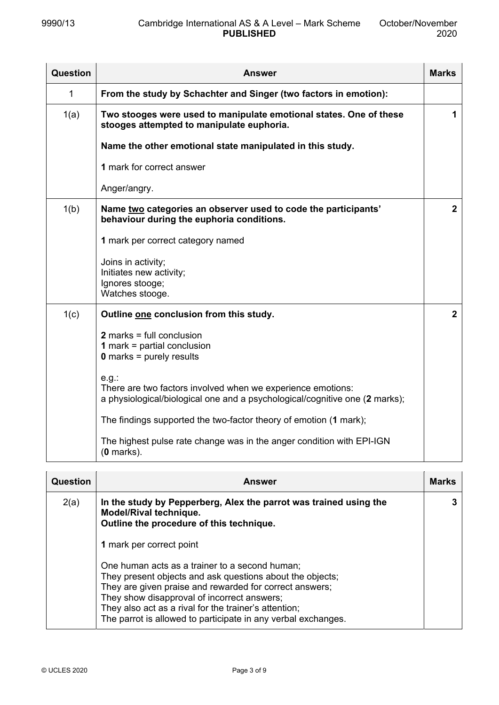| Question | <b>Answer</b>                                                                                                                                          | <b>Marks</b>   |
|----------|--------------------------------------------------------------------------------------------------------------------------------------------------------|----------------|
| 1        | From the study by Schachter and Singer (two factors in emotion):                                                                                       |                |
| 1(a)     | Two stooges were used to manipulate emotional states. One of these<br>stooges attempted to manipulate euphoria.                                        | 1              |
|          | Name the other emotional state manipulated in this study.                                                                                              |                |
|          | 1 mark for correct answer                                                                                                                              |                |
|          | Anger/angry.                                                                                                                                           |                |
| 1(b)     | Name two categories an observer used to code the participants'<br>behaviour during the euphoria conditions.                                            | $\overline{2}$ |
|          | 1 mark per correct category named                                                                                                                      |                |
|          | Joins in activity;<br>Initiates new activity;<br>Ignores stooge;<br>Watches stooge.                                                                    |                |
| 1(c)     | Outline one conclusion from this study.                                                                                                                | $\overline{2}$ |
|          | $2$ marks = full conclusion<br><b>1</b> mark = partial conclusion<br>$0$ marks = purely results                                                        |                |
|          | $e.g.$ :<br>There are two factors involved when we experience emotions:<br>a physiological/biological one and a psychological/cognitive one (2 marks); |                |
|          | The findings supported the two-factor theory of emotion (1 mark);                                                                                      |                |
|          | The highest pulse rate change was in the anger condition with EPI-IGN<br>$(0$ marks).                                                                  |                |

| Question | <b>Answer</b>                                                                                                                                                                                                                                                                                                                                   | <b>Marks</b> |
|----------|-------------------------------------------------------------------------------------------------------------------------------------------------------------------------------------------------------------------------------------------------------------------------------------------------------------------------------------------------|--------------|
| 2(a)     | In the study by Pepperberg, Alex the parrot was trained using the<br>Model/Rival technique.<br>Outline the procedure of this technique.                                                                                                                                                                                                         |              |
|          | 1 mark per correct point                                                                                                                                                                                                                                                                                                                        |              |
|          | One human acts as a trainer to a second human;<br>They present objects and ask questions about the objects;<br>They are given praise and rewarded for correct answers;<br>They show disapproval of incorrect answers;<br>They also act as a rival for the trainer's attention;<br>The parrot is allowed to participate in any verbal exchanges. |              |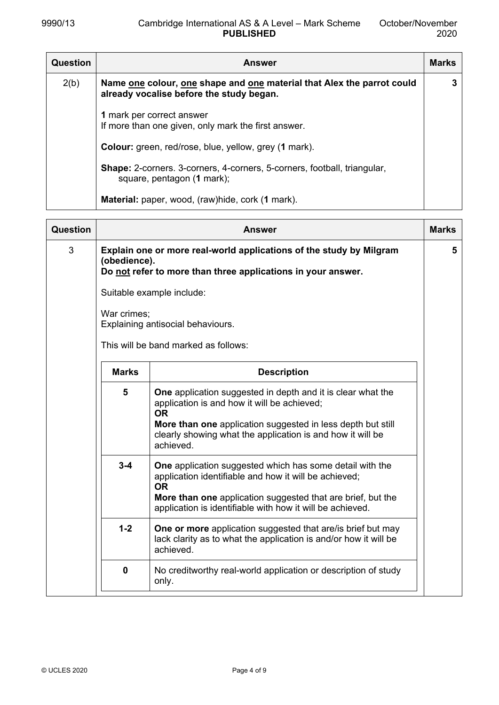| Question | <b>Answer</b>                                                                                                                           | <b>Marks</b> |
|----------|-----------------------------------------------------------------------------------------------------------------------------------------|--------------|
| 2(b)     | Name <u>one</u> colour, <u>one</u> shape and <u>one</u> material that Alex the parrot could<br>already vocalise before the study began. | 3            |
|          | 1 mark per correct answer<br>If more than one given, only mark the first answer.                                                        |              |
|          | <b>Colour:</b> green, red/rose, blue, yellow, grey (1 mark).                                                                            |              |
|          | <b>Shape:</b> 2-corners. 3-corners, 4-corners, 5-corners, football, triangular,<br>square, pentagon (1 mark);                           |              |
|          | <b>Material:</b> paper, wood, (raw) hide, cork (1 mark).                                                                                |              |

| Question |                             | Answer                                                                                                                                                                                                                                                            | <b>Marks</b> |
|----------|-----------------------------|-------------------------------------------------------------------------------------------------------------------------------------------------------------------------------------------------------------------------------------------------------------------|--------------|
| 3        | (obedience).<br>War crimes; | Explain one or more real-world applications of the study by Milgram<br>Do not refer to more than three applications in your answer.<br>Suitable example include:<br>Explaining antisocial behaviours.<br>This will be band marked as follows:                     | 5            |
|          |                             |                                                                                                                                                                                                                                                                   |              |
|          | <b>Marks</b>                | <b>Description</b>                                                                                                                                                                                                                                                |              |
|          | 5                           | One application suggested in depth and it is clear what the<br>application is and how it will be achieved;<br><b>OR</b><br>More than one application suggested in less depth but still<br>clearly showing what the application is and how it will be<br>achieved. |              |
|          | $3 - 4$                     | <b>One</b> application suggested which has some detail with the<br>application identifiable and how it will be achieved;<br><b>OR</b><br>More than one application suggested that are brief, but the<br>application is identifiable with how it will be achieved. |              |
|          | $1 - 2$                     | <b>One or more</b> application suggested that are/is brief but may<br>lack clarity as to what the application is and/or how it will be<br>achieved.                                                                                                               |              |
|          | 0                           | No creditworthy real-world application or description of study<br>only.                                                                                                                                                                                           |              |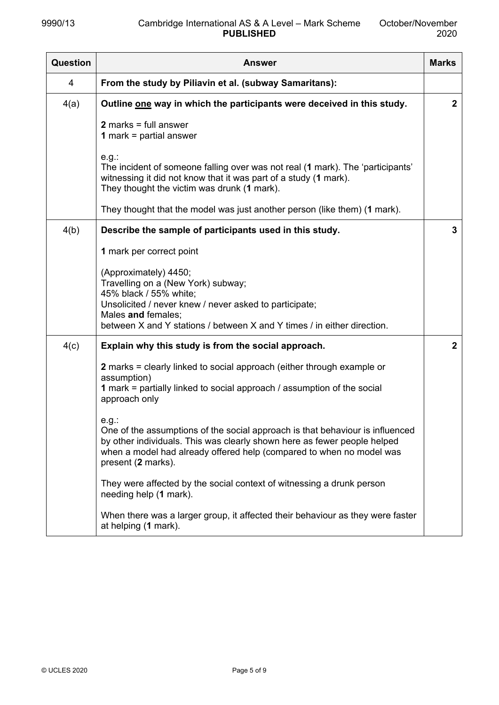| Question | <b>Answer</b>                                                                                                                                                                                                                                                       |              |  |
|----------|---------------------------------------------------------------------------------------------------------------------------------------------------------------------------------------------------------------------------------------------------------------------|--------------|--|
| 4        | From the study by Piliavin et al. (subway Samaritans):                                                                                                                                                                                                              |              |  |
| 4(a)     | Outline one way in which the participants were deceived in this study.                                                                                                                                                                                              | $\mathbf{2}$ |  |
|          | $2$ marks = full answer<br><b>1</b> mark = partial answer                                                                                                                                                                                                           |              |  |
|          | e.g.<br>The incident of someone falling over was not real (1 mark). The 'participants'<br>witnessing it did not know that it was part of a study (1 mark).<br>They thought the victim was drunk (1 mark).                                                           |              |  |
|          | They thought that the model was just another person (like them) (1 mark).                                                                                                                                                                                           |              |  |
| 4(b)     | Describe the sample of participants used in this study.                                                                                                                                                                                                             | 3            |  |
|          | 1 mark per correct point                                                                                                                                                                                                                                            |              |  |
|          | (Approximately) 4450;<br>Travelling on a (New York) subway;<br>45% black / 55% white;                                                                                                                                                                               |              |  |
|          | Unsolicited / never knew / never asked to participate;<br>Males and females;                                                                                                                                                                                        |              |  |
|          | between X and Y stations / between X and Y times / in either direction.                                                                                                                                                                                             |              |  |
| 4(c)     | Explain why this study is from the social approach.                                                                                                                                                                                                                 | $\mathbf{2}$ |  |
|          | 2 marks = clearly linked to social approach (either through example or<br>assumption)                                                                                                                                                                               |              |  |
|          | 1 mark = partially linked to social approach / assumption of the social<br>approach only                                                                                                                                                                            |              |  |
|          | $e.g.$ :<br>One of the assumptions of the social approach is that behaviour is influenced<br>by other individuals. This was clearly shown here as fewer people helped<br>when a model had already offered help (compared to when no model was<br>present (2 marks). |              |  |
|          | They were affected by the social context of witnessing a drunk person<br>needing help (1 mark).                                                                                                                                                                     |              |  |
|          | When there was a larger group, it affected their behaviour as they were faster<br>at helping (1 mark).                                                                                                                                                              |              |  |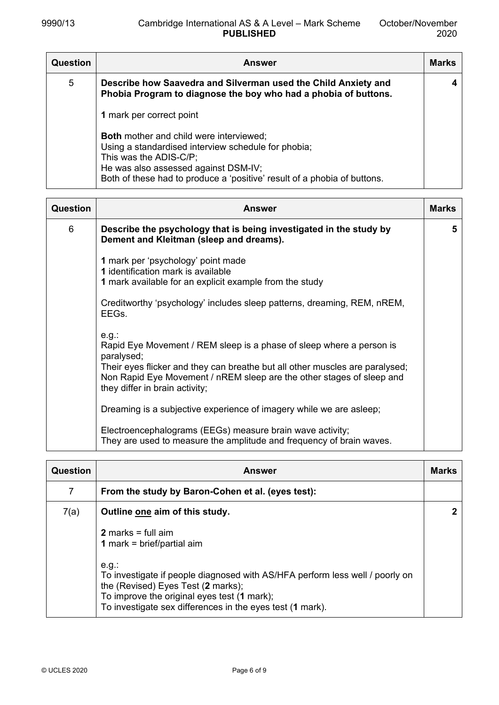| <b>Question</b> | <b>Answer</b>                                                                                                                                                                                                                                       | <b>Marks</b> |
|-----------------|-----------------------------------------------------------------------------------------------------------------------------------------------------------------------------------------------------------------------------------------------------|--------------|
| 5               | Describe how Saavedra and Silverman used the Child Anxiety and<br>Phobia Program to diagnose the boy who had a phobia of buttons.                                                                                                                   | 4            |
|                 | 1 mark per correct point                                                                                                                                                                                                                            |              |
|                 | <b>Both mother and child were interviewed;</b><br>Using a standardised interview schedule for phobia;<br>This was the ADIS-C/P;<br>He was also assessed against DSM-IV;<br>Both of these had to produce a 'positive' result of a phobia of buttons. |              |

| Question | <b>Answer</b>                                                                                                                                                                                                                                                                             | <b>Marks</b> |
|----------|-------------------------------------------------------------------------------------------------------------------------------------------------------------------------------------------------------------------------------------------------------------------------------------------|--------------|
| 6        | Describe the psychology that is being investigated in the study by<br>Dement and Kleitman (sleep and dreams).                                                                                                                                                                             | 5            |
|          | 1 mark per 'psychology' point made<br>1 identification mark is available<br>1 mark available for an explicit example from the study                                                                                                                                                       |              |
|          | Creditworthy 'psychology' includes sleep patterns, dreaming, REM, nREM,<br>EEGs.                                                                                                                                                                                                          |              |
|          | $e.g.$ :<br>Rapid Eye Movement / REM sleep is a phase of sleep where a person is<br>paralysed;<br>Their eyes flicker and they can breathe but all other muscles are paralysed;<br>Non Rapid Eye Movement / nREM sleep are the other stages of sleep and<br>they differ in brain activity; |              |
|          | Dreaming is a subjective experience of imagery while we are asleep;                                                                                                                                                                                                                       |              |
|          | Electroencephalograms (EEGs) measure brain wave activity;<br>They are used to measure the amplitude and frequency of brain waves.                                                                                                                                                         |              |

| <b>Question</b> | <b>Answer</b>                                                                                                                                                                                                                                                                                                                         | <b>Marks</b> |
|-----------------|---------------------------------------------------------------------------------------------------------------------------------------------------------------------------------------------------------------------------------------------------------------------------------------------------------------------------------------|--------------|
| $\overline{7}$  | From the study by Baron-Cohen et al. (eyes test):                                                                                                                                                                                                                                                                                     |              |
| 7(a)            | Outline one aim of this study.<br>2 marks = full $aim$<br><b>1</b> mark = brief/partial aim<br>e.g.<br>To investigate if people diagnosed with AS/HFA perform less well / poorly on<br>the (Revised) Eyes Test (2 marks);<br>To improve the original eyes test (1 mark);<br>To investigate sex differences in the eyes test (1 mark). |              |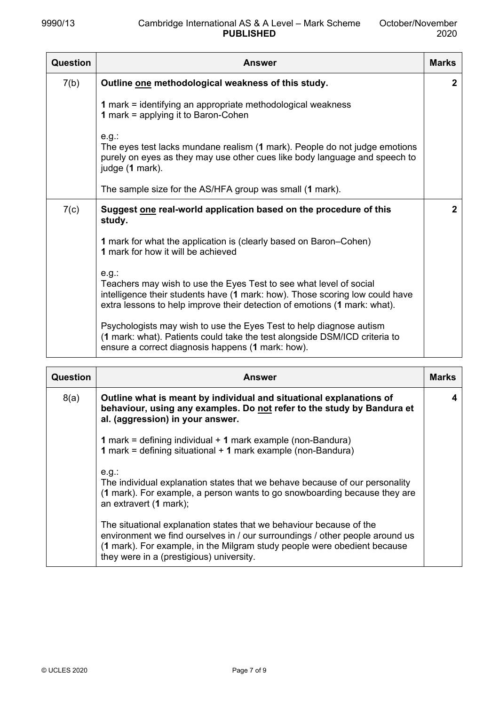| Question | <b>Answer</b>                                                                                                                                                                                                                               | <b>Marks</b> |
|----------|---------------------------------------------------------------------------------------------------------------------------------------------------------------------------------------------------------------------------------------------|--------------|
| 7(b)     | Outline one methodological weakness of this study.                                                                                                                                                                                          | $\mathbf{2}$ |
|          | 1 mark = identifying an appropriate methodological weakness<br><b>1</b> mark = applying it to Baron-Cohen                                                                                                                                   |              |
|          | $e.g.$ :<br>The eyes test lacks mundane realism (1 mark). People do not judge emotions<br>purely on eyes as they may use other cues like body language and speech to<br>judge (1 mark).                                                     |              |
|          | The sample size for the AS/HFA group was small (1 mark).                                                                                                                                                                                    |              |
| 7(c)     | Suggest one real-world application based on the procedure of this<br>study.                                                                                                                                                                 | $\mathbf{2}$ |
|          | 1 mark for what the application is (clearly based on Baron–Cohen)<br>1 mark for how it will be achieved                                                                                                                                     |              |
|          | $e.g.$ :<br>Teachers may wish to use the Eyes Test to see what level of social<br>intelligence their students have (1 mark: how). Those scoring low could have<br>extra lessons to help improve their detection of emotions (1 mark: what). |              |
|          | Psychologists may wish to use the Eyes Test to help diagnose autism<br>(1 mark: what). Patients could take the test alongside DSM/ICD criteria to<br>ensure a correct diagnosis happens (1 mark: how).                                      |              |

| Question | <b>Answer</b>                                                                                                                                                                                                                                                               | <b>Marks</b> |
|----------|-----------------------------------------------------------------------------------------------------------------------------------------------------------------------------------------------------------------------------------------------------------------------------|--------------|
| 8(a)     | Outline what is meant by individual and situational explanations of<br>behaviour, using any examples. Do not refer to the study by Bandura et<br>al. (aggression) in your answer.                                                                                           |              |
|          | 1 mark = defining individual + 1 mark example (non-Bandura)<br><b>1</b> mark = defining situational $+$ <b>1</b> mark example (non-Bandura)                                                                                                                                 |              |
|          | $e.g.$ :<br>The individual explanation states that we behave because of our personality<br>(1 mark). For example, a person wants to go snowboarding because they are<br>an extravert (1 mark);                                                                              |              |
|          | The situational explanation states that we behaviour because of the<br>environment we find ourselves in / our surroundings / other people around us<br>(1 mark). For example, in the Milgram study people were obedient because<br>they were in a (prestigious) university. |              |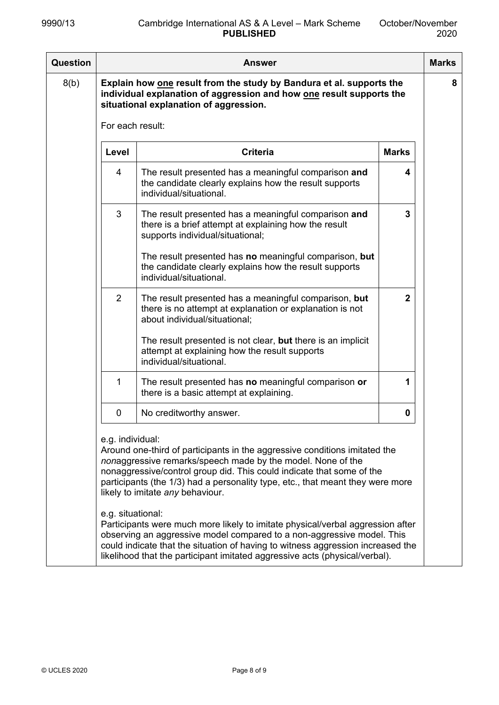| <b>Question</b> |                                       | <b>Answer</b>                                                                                                                                                                                                                                                                                                                                                                                                                                                                                                                                                                                                                                                          |              | <b>Marks</b> |
|-----------------|---------------------------------------|------------------------------------------------------------------------------------------------------------------------------------------------------------------------------------------------------------------------------------------------------------------------------------------------------------------------------------------------------------------------------------------------------------------------------------------------------------------------------------------------------------------------------------------------------------------------------------------------------------------------------------------------------------------------|--------------|--------------|
| 8(b)            |                                       | Explain how one result from the study by Bandura et al. supports the<br>individual explanation of aggression and how one result supports the<br>situational explanation of aggression.                                                                                                                                                                                                                                                                                                                                                                                                                                                                                 |              | 8            |
|                 | For each result:                      |                                                                                                                                                                                                                                                                                                                                                                                                                                                                                                                                                                                                                                                                        |              |              |
|                 | Level                                 | <b>Criteria</b>                                                                                                                                                                                                                                                                                                                                                                                                                                                                                                                                                                                                                                                        | <b>Marks</b> |              |
|                 | 4                                     | The result presented has a meaningful comparison and<br>the candidate clearly explains how the result supports<br>individual/situational.                                                                                                                                                                                                                                                                                                                                                                                                                                                                                                                              | 4            |              |
|                 | 3                                     | The result presented has a meaningful comparison and<br>there is a brief attempt at explaining how the result<br>supports individual/situational;                                                                                                                                                                                                                                                                                                                                                                                                                                                                                                                      | 3            |              |
|                 |                                       | The result presented has no meaningful comparison, but<br>the candidate clearly explains how the result supports<br>individual/situational.                                                                                                                                                                                                                                                                                                                                                                                                                                                                                                                            |              |              |
|                 | 2                                     | The result presented has a meaningful comparison, but<br>there is no attempt at explanation or explanation is not<br>about individual/situational;                                                                                                                                                                                                                                                                                                                                                                                                                                                                                                                     | $\mathbf{2}$ |              |
|                 |                                       | The result presented is not clear, but there is an implicit<br>attempt at explaining how the result supports<br>individual/situational.                                                                                                                                                                                                                                                                                                                                                                                                                                                                                                                                |              |              |
|                 | 1                                     | The result presented has no meaningful comparison or<br>there is a basic attempt at explaining.                                                                                                                                                                                                                                                                                                                                                                                                                                                                                                                                                                        | 1            |              |
|                 | 0                                     | No creditworthy answer.                                                                                                                                                                                                                                                                                                                                                                                                                                                                                                                                                                                                                                                | 0            |              |
|                 | e.g. individual:<br>e.g. situational: | Around one-third of participants in the aggressive conditions imitated the<br>nonaggressive remarks/speech made by the model. None of the<br>nonaggressive/control group did. This could indicate that some of the<br>participants (the 1/3) had a personality type, etc., that meant they were more<br>likely to imitate any behaviour.<br>Participants were much more likely to imitate physical/verbal aggression after<br>observing an aggressive model compared to a non-aggressive model. This<br>could indicate that the situation of having to witness aggression increased the<br>likelihood that the participant imitated aggressive acts (physical/verbal). |              |              |